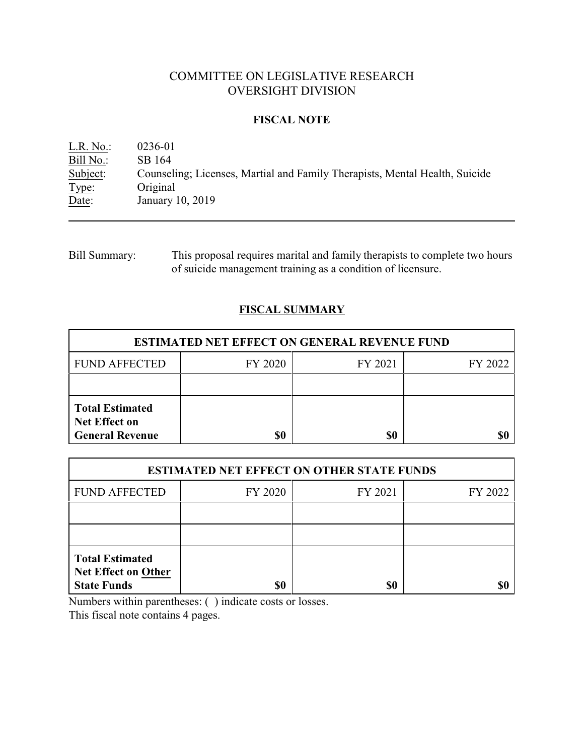# COMMITTEE ON LEGISLATIVE RESEARCH OVERSIGHT DIVISION

## **FISCAL NOTE**

L.R. No.: 0236-01 Bill No.: SB 164<br>Subject: Counsel Counseling; Licenses, Martial and Family Therapists, Mental Health, Suicide Type: Original<br>Date: January January 10, 2019

Bill Summary: This proposal requires marital and family therapists to complete two hours of suicide management training as a condition of licensure.

## **FISCAL SUMMARY**

| <b>ESTIMATED NET EFFECT ON GENERAL REVENUE FUND</b>                      |         |         |         |  |
|--------------------------------------------------------------------------|---------|---------|---------|--|
| <b>FUND AFFECTED</b>                                                     | FY 2020 | FY 2021 | FY 2022 |  |
|                                                                          |         |         |         |  |
| <b>Total Estimated</b><br><b>Net Effect on</b><br><b>General Revenue</b> | \$0     | \$0     |         |  |

| <b>ESTIMATED NET EFFECT ON OTHER STATE FUNDS</b>                           |         |         |         |  |
|----------------------------------------------------------------------------|---------|---------|---------|--|
| <b>FUND AFFECTED</b>                                                       | FY 2020 | FY 2021 | FY 2022 |  |
|                                                                            |         |         |         |  |
|                                                                            |         |         |         |  |
| <b>Total Estimated</b><br><b>Net Effect on Other</b><br><b>State Funds</b> | \$0     | \$0     |         |  |

Numbers within parentheses: ( ) indicate costs or losses.

This fiscal note contains 4 pages.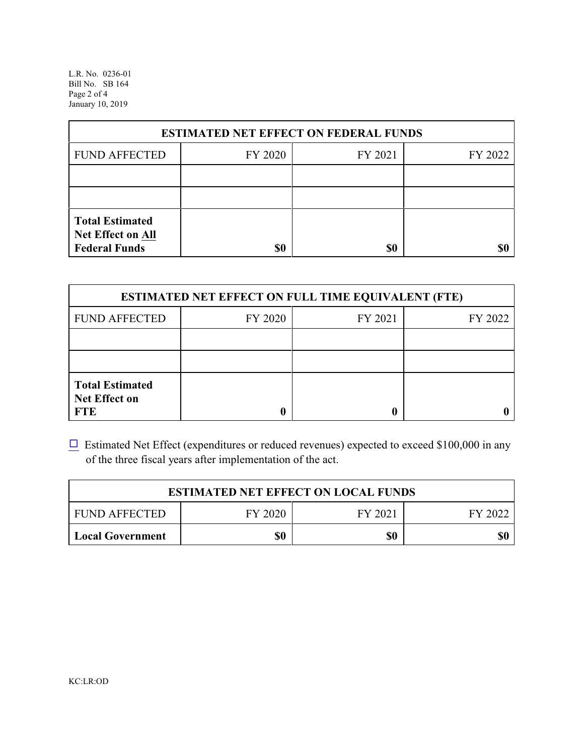L.R. No. 0236-01 Bill No. SB 164 Page 2 of 4 January 10, 2019

| <b>ESTIMATED NET EFFECT ON FEDERAL FUNDS</b>                        |         |         |         |  |
|---------------------------------------------------------------------|---------|---------|---------|--|
| <b>FUND AFFECTED</b>                                                | FY 2020 | FY 2021 | FY 2022 |  |
|                                                                     |         |         |         |  |
|                                                                     |         |         |         |  |
| <b>Total Estimated</b><br>Net Effect on All<br><b>Federal Funds</b> | \$0     | \$0     |         |  |

| <b>ESTIMATED NET EFFECT ON FULL TIME EQUIVALENT (FTE)</b>    |         |         |         |  |
|--------------------------------------------------------------|---------|---------|---------|--|
| <b>FUND AFFECTED</b>                                         | FY 2020 | FY 2021 | FY 2022 |  |
|                                                              |         |         |         |  |
|                                                              |         |         |         |  |
| <b>Total Estimated</b><br><b>Net Effect on</b><br><b>FTE</b> |         |         |         |  |

 $\Box$  Estimated Net Effect (expenditures or reduced revenues) expected to exceed \$100,000 in any of the three fiscal years after implementation of the act.

| <b>ESTIMATED NET EFFECT ON LOCAL FUNDS</b> |         |         |         |
|--------------------------------------------|---------|---------|---------|
| <b>FUND AFFECTED</b>                       | FY 2020 | FY 2021 | FY 2022 |
| <b>Local Government</b>                    | \$0     | \$0     | \$0     |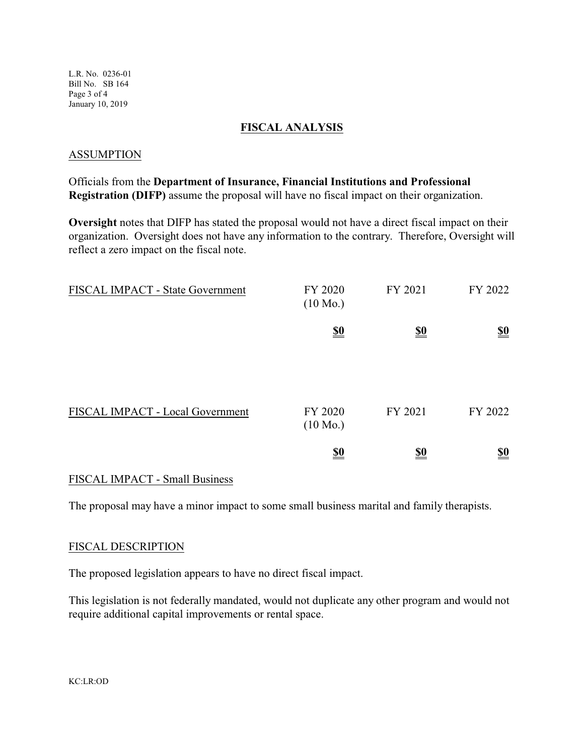### **FISCAL ANALYSIS**

### ASSUMPTION

Officials from the **Department of Insurance, Financial Institutions and Professional Registration (DIFP)** assume the proposal will have no fiscal impact on their organization.

**Oversight** notes that DIFP has stated the proposal would not have a direct fiscal impact on their organization. Oversight does not have any information to the contrary. Therefore, Oversight will reflect a zero impact on the fiscal note.

| FISCAL IMPACT - State Government | FY 2020<br>$(10 \text{ Mo.})$ | FY 2021                       | FY 2022                       |
|----------------------------------|-------------------------------|-------------------------------|-------------------------------|
|                                  | $\underline{\underline{\$0}}$ | $\underline{\underline{\$0}}$ | $\underline{\underline{\$0}}$ |
|                                  |                               |                               |                               |
| FISCAL IMPACT - Local Government | FY 2020<br>$(10 \text{ Mo.})$ | FY 2021                       | FY 2022                       |
|                                  | $\underline{\underline{\$0}}$ | $\underline{\underline{\$0}}$ | $\underline{\underline{\$0}}$ |

### FISCAL IMPACT - Small Business

The proposal may have a minor impact to some small business marital and family therapists.

#### FISCAL DESCRIPTION

The proposed legislation appears to have no direct fiscal impact.

This legislation is not federally mandated, would not duplicate any other program and would not require additional capital improvements or rental space.